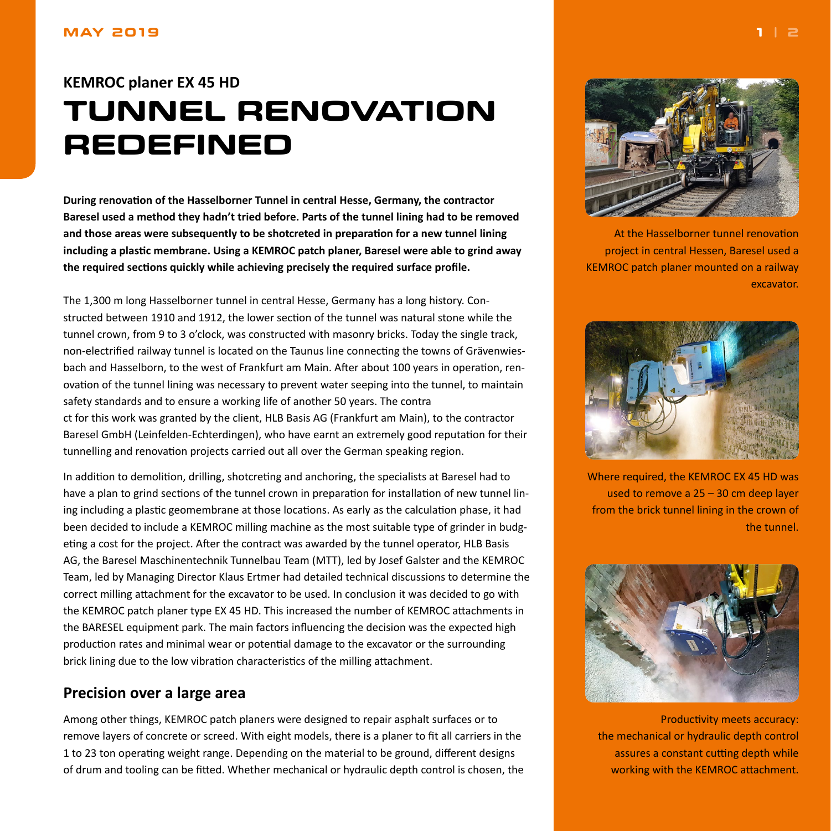#### <span id="page-0-0"></span>**MAY 2019**

# **KEMROC planer EX 45 HD TUNNEL RENOVATION REDEFINED**

**During renovation of the Hasselborner Tunnel in central Hesse, Germany, the contractor Baresel used a method they hadn't tried before. Parts of the tunnel lining had to be removed and those areas were subsequently to be shotcreted in preparation for a new tunnel lining including a plastic membrane. Using a KEMROC patch planer, Baresel were able to grind away the required sections quickly while achieving precisely the required surface profile.**

The 1,300 m long Hasselborner tunnel in central Hesse, Germany has a long history. Constructed between 1910 and 1912, the lower section of the tunnel was natural stone while the tunnel crown, from 9 to 3 o'clock, was constructed with masonry bricks. Today the single track, non-electrified railway tunnel is located on the Taunus line connecting the towns of Grävenwiesbach and Hasselborn, to the west of Frankfurt am Main. After about 100 years in operation, renovation of the tunnel lining was necessary to prevent water seeping into the tunnel, to maintain safety standards and to ensure a working life of another 50 years. The contra ct for this work was granted by the client, HLB Basis AG (Frankfurt am Main), to the contractor Baresel GmbH (Leinfelden-Echterdingen), who have earnt an extremely good reputation for their tunnelling and renovation projects carried out all over the German speaking region.

In addition to demolition, drilling, shotcreting and anchoring, the specialists at Baresel had to have a plan to grind sections of the tunnel crown in preparation for installation of new tunnel lining including a plastic geomembrane at those locations. As early as the calculation phase, it had been decided to include a KEMROC milling machine as the most suitable type of grinder in budgeting a cost for the project. After the contract was awarded by the tunnel operator, HLB Basis AG, the Baresel Maschinentechnik Tunnelbau Team (MTT), led by Josef Galster and the KEMROC Team, led by Managing Director Klaus Ertmer had detailed technical discussions to determine the correct milling attachment for the excavator to be used. In conclusion it was decided to go with the KEMROC patch planer type EX 45 HD. This increased the number of KEMROC attachments in the BARESEL equipment park. The main factors influencing the decision was the expected high production rates and minimal wear or potential damage to the excavator or the surrounding brick lining due to the low vibration characteristics of the milling attachment.

## **Precision over a large area**

Among other things, KEMROC patch planers were designed to repair asphalt surfaces or to remove layers of concrete or screed. With eight models, there is a planer to fit all carriers in the 1 to 23 ton operating weight range. Depending on the material to be ground, different designs of drum and tooling can be fitted. Whether mechanical or hydraulic depth control is chosen, the



At the Hasselborner tunnel renovation project in central Hessen, Baresel used a KEMROC patch planer mounted on a railway excavator.



Where required, the KEMROC EX 45 HD was used to remove a 25 – 30 cm deep layer from the brick tunnel lining in the crown of the tunnel.



Productivity meets accuracy: the mechanical or hydraulic depth control assures a constant cutting depth while working with the KEMROC attachment.